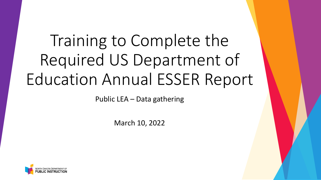# Training to Complete the Required US Department of Education Annual ESSER Report

Public LEA – Data gathering

March 10, 2022

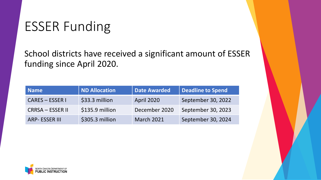### ESSER Funding

School districts have received a significant amount of ESSER funding since April 2020.

| <b>Name</b>             | ND Allocation   | <b>Date Awarded</b> | Deadline to Spend  |
|-------------------------|-----------------|---------------------|--------------------|
| <b>CARES - ESSER I</b>  | \$33.3 million  | <b>April 2020</b>   | September 30, 2022 |
| <b>CRRSA – ESSER II</b> | \$135.9 million | December 2020       | September 30, 2023 |
| <b>ARP-ESSER III</b>    | \$305.3 million | <b>March 2021</b>   | September 30, 2024 |

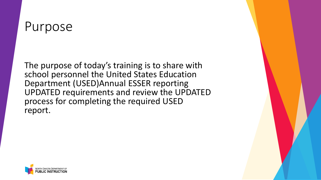### Purpose

The purpose of today's training is to share with school personnel the United States Education Department (USED)Annual ESSER reporting UPDATED requirements and review the UPDATED process for completing the required USED report.

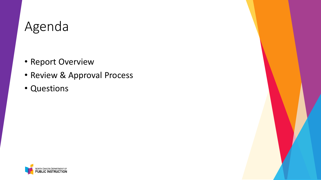## Agenda

- Report Overview
- Review & Approval Process
- Questions

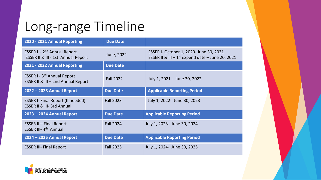## Long-range Timeline

| 2020 - 2021 Annual Reporting                                                     | <b>Due Date</b>  |                                                                                                            |
|----------------------------------------------------------------------------------|------------------|------------------------------------------------------------------------------------------------------------|
| ESSER I - 2 <sup>nd</sup> Annual Report<br>ESSER II & III - 1st Annual Report    | June, 2022       | ESSER I- October 1, 2020- June 30, 2021<br>ESSER II & III $-1$ <sup>st</sup> expend date $-$ June 20, 2021 |
| 2021 - 2022 Annual Reporting                                                     | <b>Due Date</b>  |                                                                                                            |
| <b>ESSER I - 3rd Annual Report</b><br>ESSER II & III - 2nd Annual Report         | <b>Fall 2022</b> | July 1, 2021 - June 30, 2022                                                                               |
| 2022 - 2023 Annual Report                                                        | <b>Due Date</b>  | <b>Applicable Reporting Period</b>                                                                         |
| <b>ESSER I- Final Report (If needed)</b><br><b>ESSER II &amp; III-3rd Annual</b> | <b>Fall 2023</b> | July 1, 2022- June 30, 2023                                                                                |
| 2023 - 2024 Annual Report                                                        | <b>Due Date</b>  | <b>Applicable Reporting Period</b>                                                                         |
| <b>ESSER II - Final Report</b><br>ESSER III-4 <sup>th</sup> Annual               | <b>Fall 2024</b> | July 1, 2023- June 30, 2024                                                                                |
| 2024 - 2025 Annual Report                                                        | <b>Due Date</b>  | <b>Applicable Reporting Period</b>                                                                         |
| <b>ESSER III- Final Report</b>                                                   | <b>Fall 2025</b> | July 1, 2024 - June 30, 2025                                                                               |

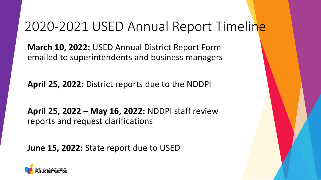### 2020-2021 USED Annual Report Timeline

**March 10, 2022:** USED Annual District Report Form emailed to superintendents and business managers

**April 25, 2022:** District reports due to the NDDPI

**April 25, 2022 – May 16, 2022:** NDDPI staff review reports and request clarifications

**June 15, 2022:** State report due to USED

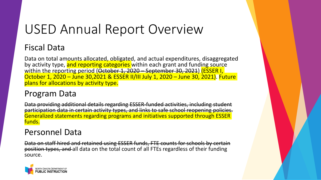# USED Annual Report Overview

#### Fiscal Data

Data on total amounts allocated, obligated, and actual expenditures, disaggregated by activity type, and reporting categories within each grant and funding source within the reporting period (October 1, 2020 – September 30, 2021) (ESSER I, October 1, 2020 – June 30,2021 & ESSER II/III July 1, 2020 – June 30, 2021). Future plans for allocations by activity type.

#### Program Data

Data providing additional details regarding ESSER-funded activities, including student participation data in certain activity types, and links to safe school reopening policies. Generalized statements regarding programs and initiatives supported through ESSER funds.

#### Personnel Data

Data on staff hired and retained using ESSER funds, FTE counts for schools by certain position types, and all data on the total count of all FTEs regardless of their funding source.

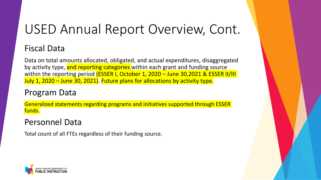# USED Annual Report Overview, Cont.

#### Fiscal Data

Data on total amounts allocated, obligated, and actual expenditures, disaggregated by activity type, and reporting categories within each grant and funding source within the reporting period (ESSER I, October 1, 2020 - June 30,2021 & ESSER II/III July 1, 2020 – June 30, 2021). Future plans for allocations by activity type.

#### Program Data

Generalized statements regarding programs and initiatives supported through ESSER funds.

#### Personnel Data

Total count of all FTEs regardless of their funding source.

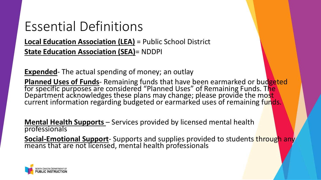### Essential Definitions

**Local Education Association (LEA)** = Public School District **State Education Association (SEA)**= NDDPI

**Expended**- The actual spending of money; an outlay

**Planned Uses of Funds**- Remaining funds that have been earmarked or bud<mark>geted</mark><br>for specific purposes are considered "Planned Uses" of Remaining Funds. T<mark>he</mark> Department acknowledges these plans may change; please provide the most current information regarding budgeted or earmarked uses of remaining funds.

**Mental Health Supports** – Services provided by licensed mental health professionals

**Social-Emotional Support**- Supports and supplies provided to students through any means that are not licensed, mental health professionals

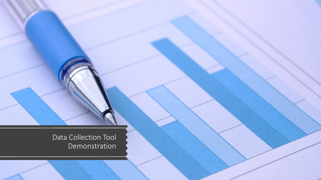Data Collection Tool Demonstration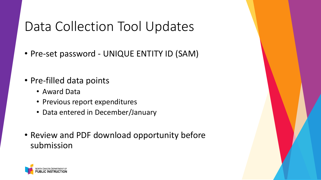# Data Collection Tool Updates

- Pre-set password UNIQUE ENTITY ID (SAM)
- Pre-filled data points
	- Award Data
	- Previous report expenditures
	- Data entered in December/January
- Review and PDF download opportunity before submission

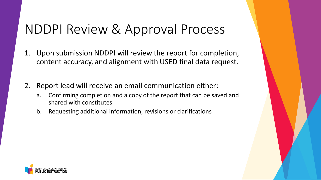## NDDPI Review & Approval Process

- 1. Upon submission NDDPI will review the report for completion, content accuracy, and alignment with USED final data request.
- 2. Report lead will receive an email communication either:
	- a. Confirming completion and a copy of the report that can be saved and shared with constitutes
	- b. Requesting additional information, revisions or clarifications

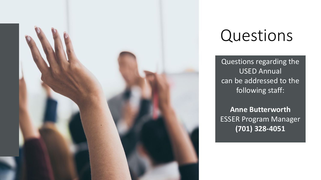

# Questions

Questions regarding the USED Annual can be addressed to the following staff:

**Anne Butterworth** ESSER Program Manager **(701) 328-4051**